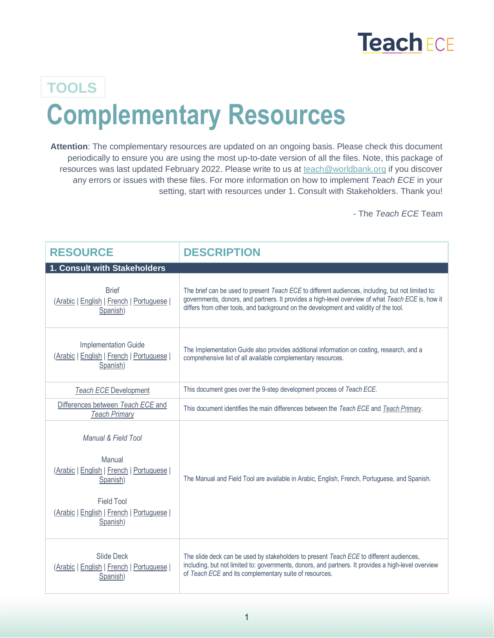## **Teach ECE**

## **Complementary Resources TOOLS**

**Attention**: The complementary resources are updated on an ongoing basis. Please check this document periodically to ensure you are using the most up-to-date version of all the files. Note, this package of resources was last updated February 2022. Please write to us at [teach@worldbank.org](mailto:teach@worldbank.org) if you discover any errors or issues with these files. For more information on how to implement *Teach ECE* in your setting, start with resources under 1. Consult with Stakeholders. Thank you!

- The *Teach ECE* Team

| <b>RESOURCE</b>                                                                                                                                                    | <b>DESCRIPTION</b>                                                                                                                                                                                                                                                                              |
|--------------------------------------------------------------------------------------------------------------------------------------------------------------------|-------------------------------------------------------------------------------------------------------------------------------------------------------------------------------------------------------------------------------------------------------------------------------------------------|
| 1. Consult with Stakeholders                                                                                                                                       |                                                                                                                                                                                                                                                                                                 |
| <b>Brief</b><br>(Arabic   English   French   Portuguese  <br>Spanish)                                                                                              | The brief can be used to present Teach ECE to different audiences, including, but not limited to:<br>governments, donors, and partners. It provides a high-level overview of what Teach ECE is, how it<br>differs from other tools, and background on the development and validity of the tool. |
| <b>Implementation Guide</b><br>(Arabic   English   French   Portuguese  <br>Spanish)                                                                               | The Implementation Guide also provides additional information on costing, research, and a<br>comprehensive list of all available complementary resources.                                                                                                                                       |
| <b>Teach ECE Development</b>                                                                                                                                       | This document goes over the 9-step development process of Teach ECE.                                                                                                                                                                                                                            |
| Differences between Teach ECE and<br><b>Teach Primary</b>                                                                                                          | This document identifies the main differences between the Teach ECE and Teach Primary.                                                                                                                                                                                                          |
| Manual & Field Tool<br>Manual<br>(Arabic   English   French   Portuguese  <br>Spanish)<br><b>Field Tool</b><br>(Arabic   English   French   Portuguese<br>Spanish) | The Manual and Field Tool are available in Arabic, English, French, Portuguese, and Spanish.                                                                                                                                                                                                    |
| <b>Slide Deck</b><br>(Arabic   English   French   Portuguese  <br>Spanish)                                                                                         | The slide deck can be used by stakeholders to present Teach ECE to different audiences,<br>including, but not limited to: governments, donors, and partners. It provides a high-level overview<br>of Teach ECE and its complementary suite of resources.                                        |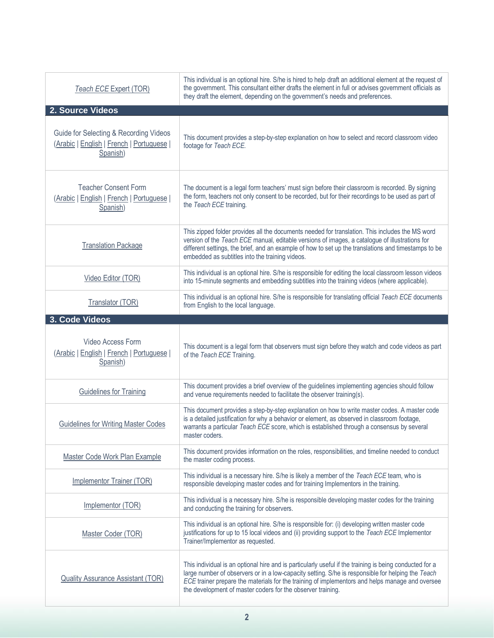| <b>Teach ECE Expert (TOR)</b>                                                                   | This individual is an optional hire. S/he is hired to help draft an additional element at the request of<br>the government. This consultant either drafts the element in full or advises government officials as<br>they draft the element, depending on the government's needs and preferences.                                                             |
|-------------------------------------------------------------------------------------------------|--------------------------------------------------------------------------------------------------------------------------------------------------------------------------------------------------------------------------------------------------------------------------------------------------------------------------------------------------------------|
| 2. Source Videos                                                                                |                                                                                                                                                                                                                                                                                                                                                              |
| Guide for Selecting & Recording Videos<br>(Arabic   English   French   Portuguese  <br>Spanish) | This document provides a step-by-step explanation on how to select and record classroom video<br>footage for Teach ECE.                                                                                                                                                                                                                                      |
| <b>Teacher Consent Form</b><br>(Arabic   English   French   Portuguese  <br>Spanish)            | The document is a legal form teachers' must sign before their classroom is recorded. By signing<br>the form, teachers not only consent to be recorded, but for their recordings to be used as part of<br>the Teach ECE training.                                                                                                                             |
| <b>Translation Package</b>                                                                      | This zipped folder provides all the documents needed for translation. This includes the MS word<br>version of the Teach ECE manual, editable versions of images, a catalogue of illustrations for<br>different settings, the brief, and an example of how to set up the translations and timestamps to be<br>embedded as subtitles into the training videos. |
| Video Editor (TOR)                                                                              | This individual is an optional hire. S/he is responsible for editing the local classroom lesson videos<br>into 15-minute segments and embedding subtitles into the training videos (where applicable).                                                                                                                                                       |
| Translator (TOR)                                                                                | This individual is an optional hire. S/he is responsible for translating official Teach ECE documents<br>from English to the local language.                                                                                                                                                                                                                 |
| 3. Code Videos                                                                                  |                                                                                                                                                                                                                                                                                                                                                              |
|                                                                                                 |                                                                                                                                                                                                                                                                                                                                                              |
| Video Access Form<br>(Arabic   English   French   Portuguese  <br>Spanish)                      | This document is a legal form that observers must sign before they watch and code videos as part<br>of the Teach ECE Training.                                                                                                                                                                                                                               |
| <b>Guidelines for Training</b>                                                                  | This document provides a brief overview of the guidelines implementing agencies should follow<br>and venue requirements needed to facilitate the observer training(s).                                                                                                                                                                                       |
| <b>Guidelines for Writing Master Codes</b>                                                      | This document provides a step-by-step explanation on how to write master codes. A master code<br>is a detailed justification for why a behavior or element, as observed in classroom footage,<br>warrants a particular Teach ECE score, which is established through a consensus by several<br>master coders.                                                |
| Master Code Work Plan Example                                                                   | This document provides information on the roles, responsibilities, and timeline needed to conduct<br>the master coding process.                                                                                                                                                                                                                              |
| Implementor Trainer (TOR)                                                                       | This individual is a necessary hire. S/he is likely a member of the Teach ECE team, who is<br>responsible developing master codes and for training Implementors in the training.                                                                                                                                                                             |
| Implementor (TOR)                                                                               | This individual is a necessary hire. S/he is responsible developing master codes for the training<br>and conducting the training for observers.                                                                                                                                                                                                              |
| Master Coder (TOR)                                                                              | This individual is an optional hire. S/he is responsible for: (i) developing written master code<br>justifications for up to 15 local videos and (ii) providing support to the Teach ECE Implementor<br>Trainer/Implementor as requested.                                                                                                                    |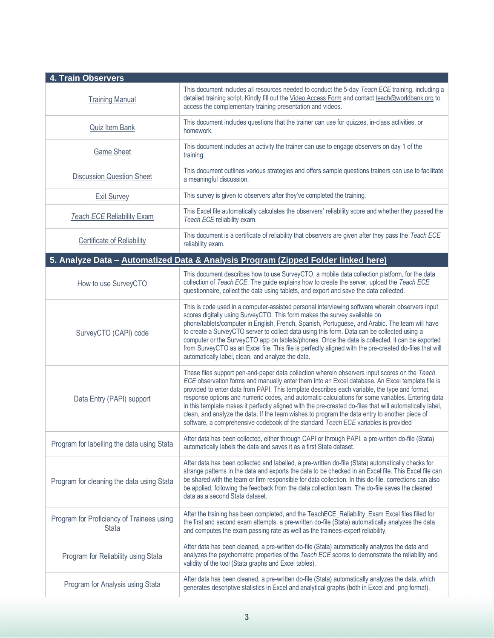| <b>4. Train Observers</b>                                 |                                                                                                                                                                                                                                                                                                                                                                                                                                                                                                                                                                                                                                                                                                          |
|-----------------------------------------------------------|----------------------------------------------------------------------------------------------------------------------------------------------------------------------------------------------------------------------------------------------------------------------------------------------------------------------------------------------------------------------------------------------------------------------------------------------------------------------------------------------------------------------------------------------------------------------------------------------------------------------------------------------------------------------------------------------------------|
| <b>Training Manual</b>                                    | This document includes all resources needed to conduct the 5-day Teach ECE training, including a<br>detailed training script. Kindly fill out the Video Access Form and contact teach@worldbank.org to<br>access the complementary training presentation and videos.                                                                                                                                                                                                                                                                                                                                                                                                                                     |
| Quiz Item Bank                                            | This document includes questions that the trainer can use for quizzes, in-class activities, or<br>homework.                                                                                                                                                                                                                                                                                                                                                                                                                                                                                                                                                                                              |
| <b>Game Sheet</b>                                         | This document includes an activity the trainer can use to engage observers on day 1 of the<br>training.                                                                                                                                                                                                                                                                                                                                                                                                                                                                                                                                                                                                  |
| <b>Discussion Question Sheet</b>                          | This document outlines various strategies and offers sample questions trainers can use to facilitate<br>a meaningful discussion.                                                                                                                                                                                                                                                                                                                                                                                                                                                                                                                                                                         |
| <b>Exit Survey</b>                                        | This survey is given to observers after they've completed the training.                                                                                                                                                                                                                                                                                                                                                                                                                                                                                                                                                                                                                                  |
| <b>Teach ECE Reliability Exam</b>                         | This Excel file automatically calculates the observers' reliability score and whether they passed the<br>Teach ECE reliability exam.                                                                                                                                                                                                                                                                                                                                                                                                                                                                                                                                                                     |
| <b>Certificate of Reliability</b>                         | This document is a certificate of reliability that observers are given after they pass the Teach ECE<br>reliability exam.                                                                                                                                                                                                                                                                                                                                                                                                                                                                                                                                                                                |
|                                                           | 5. Analyze Data - Automatized Data & Analysis Program (Zipped Folder linked here)                                                                                                                                                                                                                                                                                                                                                                                                                                                                                                                                                                                                                        |
| How to use SurveyCTO                                      | This document describes how to use SurveyCTO, a mobile data collection platform, for the data<br>collection of Teach ECE. The guide explains how to create the server, upload the Teach ECE<br>questionnaire, collect the data using tablets, and export and save the data collected.                                                                                                                                                                                                                                                                                                                                                                                                                    |
| SurveyCTO (CAPI) code                                     | This is code used in a computer-assisted personal interviewing software wherein observers input<br>scores digitally using SurveyCTO. This form makes the survey available on<br>phone/tablets/computer in English, French, Spanish, Portuguese, and Arabic. The team will have<br>to create a SurveyCTO server to collect data using this form. Data can be collected using a<br>computer or the SurveyCTO app on tablets/phones. Once the data is collected, it can be exported<br>from SurveyCTO as an Excel file. This file is perfectly aligned with the pre-created do-files that will<br>automatically label, clean, and analyze the data.                                                         |
| Data Entry (PAPI) support                                 | These files support pen-and-paper data collection wherein observers input scores on the Teach<br>ECE observation forms and manually enter them into an Excel database. An Excel template file is<br>provided to enter data from PAPI. This template describes each variable, the type and format,<br>response options and numeric codes, and automatic calculations for some variables. Entering data<br>in this template makes it perfectly aligned with the pre-created do-files that will automatically label,<br>clean, and analyze the data. If the team wishes to program the data entry to another piece of<br>software, a comprehensive codebook of the standard Teach ECE variables is provided |
| Program for labelling the data using Stata                | After data has been collected, either through CAPI or through PAPI, a pre-written do-file (Stata)<br>automatically labels the data and saves it as a first Stata dataset.                                                                                                                                                                                                                                                                                                                                                                                                                                                                                                                                |
| Program for cleaning the data using Stata                 | After data has been collected and labelled, a pre-written do-file (Stata) automatically checks for<br>strange patterns in the data and exports the data to be checked in an Excel file. This Excel file can<br>be shared with the team or firm responsible for data collection. In this do-file, corrections can also<br>be applied, following the feedback from the data collection team. The do-file saves the cleaned<br>data as a second Stata dataset.                                                                                                                                                                                                                                              |
| Program for Proficiency of Trainees using<br><b>Stata</b> | After the training has been completed, and the TeachECE_Reliability_Exam Excel files filled for<br>the first and second exam attempts, a pre-written do-file (Stata) automatically analyzes the data<br>and computes the exam passing rate as well as the trainees-expert reliability.                                                                                                                                                                                                                                                                                                                                                                                                                   |
| Program for Reliability using Stata                       | After data has been cleaned, a pre-written do-file (Stata) automatically analyzes the data and<br>analyzes the psychometric properties of the Teach ECE scores to demonstrate the reliability and<br>validity of the tool (Stata graphs and Excel tables).                                                                                                                                                                                                                                                                                                                                                                                                                                               |
| Program for Analysis using Stata                          | After data has been cleaned, a pre-written do-file (Stata) automatically analyzes the data, which<br>generates descriptive statistics in Excel and analytical graphs (both in Excel and .png format).                                                                                                                                                                                                                                                                                                                                                                                                                                                                                                    |